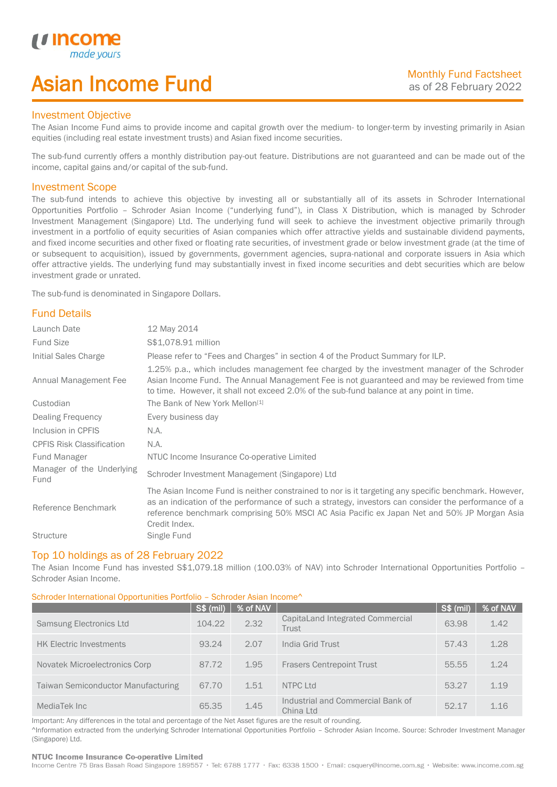# Asian Income Fund

#### Investment Objective

u incor

I

The Asian Income Fund aims to provide income and capital growth over the medium- to longer-term by investing primarily in Asian equities (including real estate investment trusts) and Asian fixed income securities.

The sub-fund currently offers a monthly distribution pay-out feature. Distributions are not guaranteed and can be made out of the income, capital gains and/or capital of the sub-fund.

#### Investment Scope

The sub-fund intends to achieve this objective by investing all or substantially all of its assets in Schroder International Opportunities Portfolio – Schroder Asian Income ("underlying fund"), in Class X Distribution, which is managed by Schroder Investment Management (Singapore) Ltd. The underlying fund will seek to achieve the investment objective primarily through investment in a portfolio of equity securities of Asian companies which offer attractive yields and sustainable dividend payments, and fixed income securities and other fixed or floating rate securities, of investment grade or below investment grade (at the time of or subsequent to acquisition), issued by governments, government agencies, supra-national and corporate issuers in Asia which offer attractive yields. The underlying fund may substantially invest in fixed income securities and debt securities which are below investment grade or unrated.

The sub-fund is denominated in Singapore Dollars.

## Fund Details

| Launch Date                       | 12 May 2014                                                                                                                                                                                                                                                                                                                 |
|-----------------------------------|-----------------------------------------------------------------------------------------------------------------------------------------------------------------------------------------------------------------------------------------------------------------------------------------------------------------------------|
| <b>Fund Size</b>                  | \$\$1,078.91 million                                                                                                                                                                                                                                                                                                        |
| Initial Sales Charge              | Please refer to "Fees and Charges" in section 4 of the Product Summary for ILP.                                                                                                                                                                                                                                             |
| Annual Management Fee             | 1.25% p.a., which includes management fee charged by the investment manager of the Schroder<br>Asian Income Fund. The Annual Management Fee is not guaranteed and may be reviewed from time<br>to time. However, it shall not exceed 2.0% of the sub-fund balance at any point in time.                                     |
| Custodian                         | The Bank of New York Mellon <sup>[1]</sup>                                                                                                                                                                                                                                                                                  |
| Dealing Frequency                 | Every business day                                                                                                                                                                                                                                                                                                          |
| Inclusion in CPFIS                | N.A.                                                                                                                                                                                                                                                                                                                        |
| <b>CPFIS Risk Classification</b>  | N.A.                                                                                                                                                                                                                                                                                                                        |
| Fund Manager                      | NTUC Income Insurance Co-operative Limited                                                                                                                                                                                                                                                                                  |
| Manager of the Underlying<br>Fund | Schroder Investment Management (Singapore) Ltd                                                                                                                                                                                                                                                                              |
| Reference Benchmark               | The Asian Income Fund is neither constrained to nor is it targeting any specific benchmark. However,<br>as an indication of the performance of such a strategy, investors can consider the performance of a<br>reference benchmark comprising 50% MSCI AC Asia Pacific ex Japan Net and 50% JP Morgan Asia<br>Credit Index. |
| <b>Structure</b>                  | Single Fund                                                                                                                                                                                                                                                                                                                 |

#### Top 10 holdings as of 28 February 2022

The Asian Income Fund has invested S\$1,079.18 million (100.03% of NAV) into Schroder International Opportunities Portfolio – Schroder Asian Income.

#### Schroder International Opportunities Portfolio – Schroder Asian Income^

|                                           | <b>S\$ (mil)</b> | % of NAV |                                                | S\$ (mil) | % of NAV |
|-------------------------------------------|------------------|----------|------------------------------------------------|-----------|----------|
| Samsung Electronics Ltd                   | 104.22           | 2.32     | CapitaLand Integrated Commercial<br>Trust      | 63.98     | 1.42     |
| <b>HK Electric Investments</b>            | 93.24            | 2.07     | India Grid Trust                               | 57.43     | 1.28     |
| Novatek Microelectronics Corp             | 87.72            | 1.95     | <b>Frasers Centrepoint Trust</b>               | 55.55     | 1.24     |
| <b>Taiwan Semiconductor Manufacturing</b> | 67.70            | 1.51     | NTPC Ltd                                       | 53.27     | 1.19     |
| MediaTek Inc                              | 65.35            | 1.45     | Industrial and Commercial Bank of<br>China Ltd | 52.17     | 1.16     |

Important: Any differences in the total and percentage of the Net Asset figures are the result of rounding. ^Information extracted from the underlying Schroder International Opportunities Portfolio – Schroder Asian Income. Source: Schroder Investment Manager (Singapore) Ltd.

#### NTUC Income Insurance Co-operative Limited

Income Centre 75 Bras Basah Road Singapore 189557 · Tel: 6788 1777 · Fax: 6338 1500 · Email: csquery@income.com.sg · Website: www.income.com.sg